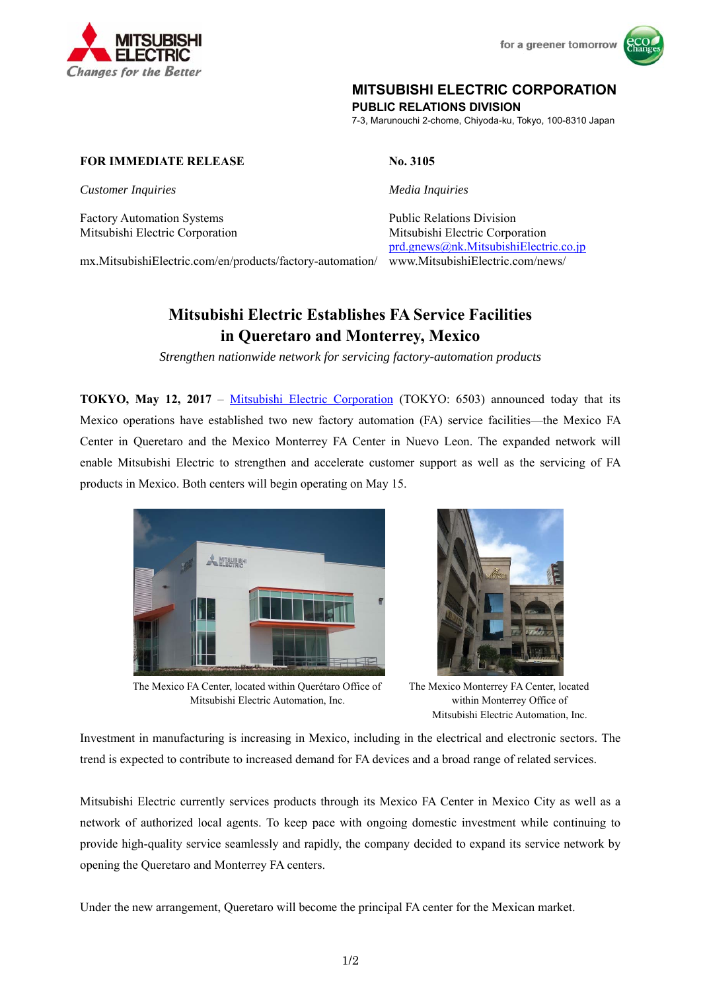

for a greener tomorrow



## **MITSUBISHI ELECTRIC CORPORATION**

**PUBLIC RELATIONS DIVISION** 

7-3, Marunouchi 2-chome, Chiyoda-ku, Tokyo, 100-8310 Japan

## **FOR IMMEDIATE RELEASE No. 3105**

*Customer Inquiries Media Inquiries*

Factory Automation Systems **Public Relations Division** Public Relations Division

Mitsubishi Electric Corporation Mitsubishi Electric Corporation prd.gnews@nk.MitsubishiElectric.co.jp www.MitsubishiElectric.com/news/

mx.MitsubishiElectric.com/en/products/factory-automation/

# **Mitsubishi Electric Establishes FA Service Facilities in Queretaro and Monterrey, Mexico**

*Strengthen nationwide network for servicing factory-automation products* 

**TOKYO, May 12, 2017** – Mitsubishi Electric Corporation (TOKYO: 6503) announced today that its Mexico operations have established two new factory automation (FA) service facilities—the Mexico FA Center in Queretaro and the Mexico Monterrey FA Center in Nuevo Leon. The expanded network will enable Mitsubishi Electric to strengthen and accelerate customer support as well as the servicing of FA products in Mexico. Both centers will begin operating on May 15.



The Mexico FA Center, located within Querétaro Office of Mitsubishi Electric Automation, Inc.



The Mexico Monterrey FA Center, located within Monterrey Office of Mitsubishi Electric Automation, Inc.

Investment in manufacturing is increasing in Mexico, including in the electrical and electronic sectors. The trend is expected to contribute to increased demand for FA devices and a broad range of related services.

Mitsubishi Electric currently services products through its Mexico FA Center in Mexico City as well as a network of authorized local agents. To keep pace with ongoing domestic investment while continuing to provide high-quality service seamlessly and rapidly, the company decided to expand its service network by opening the Queretaro and Monterrey FA centers.

Under the new arrangement, Queretaro will become the principal FA center for the Mexican market.